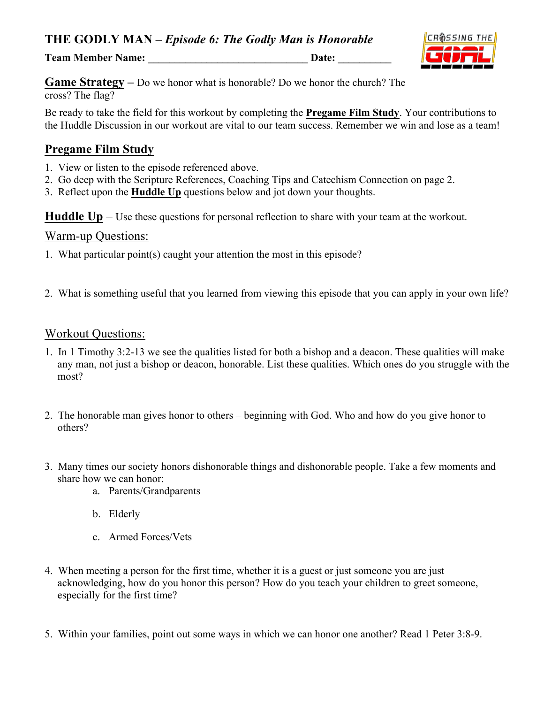**Team Member Name: Date: Date:** 



**Game Strategy –** Do we honor what is honorable? Do we honor the church? The cross? The flag?

Be ready to take the field for this workout by completing the **Pregame Film Study**. Your contributions to the Huddle Discussion in our workout are vital to our team success. Remember we win and lose as a team!

# **Pregame Film Study**

- 1. View or listen to the episode referenced above.
- 2. Go deep with the Scripture References, Coaching Tips and Catechism Connection on page 2.
- 3. Reflect upon the **Huddle Up** questions below and jot down your thoughts.

**Huddle Up** – Use these questions for personal reflection to share with your team at the workout.

#### Warm-up Questions:

- 1. What particular point(s) caught your attention the most in this episode?
- 2. What is something useful that you learned from viewing this episode that you can apply in your own life?

#### Workout Questions:

- 1. In 1 Timothy 3:2-13 we see the qualities listed for both a bishop and a deacon. These qualities will make any man, not just a bishop or deacon, honorable. List these qualities. Which ones do you struggle with the most?
- 2. The honorable man gives honor to others beginning with God. Who and how do you give honor to others?
- 3. Many times our society honors dishonorable things and dishonorable people. Take a few moments and share how we can honor:
	- a. Parents/Grandparents
	- b. Elderly
	- c. Armed Forces/Vets
- 4. When meeting a person for the first time, whether it is a guest or just someone you are just acknowledging, how do you honor this person? How do you teach your children to greet someone, especially for the first time?
- 5. Within your families, point out some ways in which we can honor one another? Read 1 Peter 3:8-9.